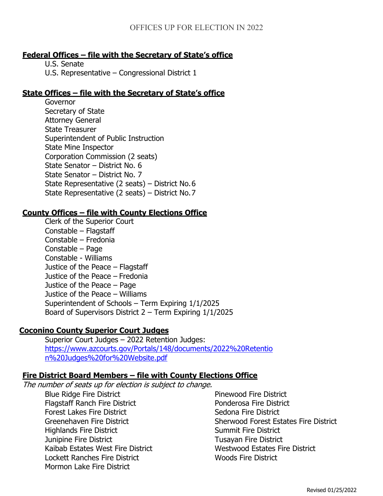# **Federal Offices – file with the Secretary of State's office**

U.S. Senate

U.S. Representative – Congressional District 1

## **State Offices – file with the Secretary of State's office**

Governor Secretary of State Attorney General State Treasurer Superintendent of Public Instruction State Mine Inspector Corporation Commission (2 seats) State Senator – District No. 6 State Senator – District No. 7 State Representative (2 seats) – District No.6 State Representative (2 seats) – District No.7

### **County Offices – file with County Elections Office**

Clerk of the Superior Court Constable – Flagstaff Constable – Fredonia Constable – Page Constable - Williams Justice of the Peace – Flagstaff Justice of the Peace – Fredonia Justice of the Peace – Page Justice of the Peace – Williams Superintendent of Schools – Term Expiring 1/1/2025 Board of Supervisors District 2 – Term Expiring 1/1/2025

# **Coconino County Superior Court Judges**

Superior Court Judges – 2022 Retention Judges: [https://www.azcourts.gov/Portals/148/documents/2022%20Retentio](https://www.azcourts.gov/Portals/148/documents/2022%20Retention%20Judges%20for%20Website.pdf) [n%20Judges%20for%20Website.pdf](https://www.azcourts.gov/Portals/148/documents/2022%20Retention%20Judges%20for%20Website.pdf)

# **Fire District Board Members – file with County Elections Office**

The number of seats up for election is subject to change.

Blue Ridge Fire District Flagstaff Ranch Fire District Forest Lakes Fire District Greenehaven Fire District Highlands Fire District Junipine Fire District Kaibab Estates West Fire District Lockett Ranches Fire District Mormon Lake Fire District

Pinewood Fire District Ponderosa Fire District Sedona Fire District Sherwood Forest Estates Fire District Summit Fire District Tusayan Fire District Westwood Estates Fire District Woods Fire District